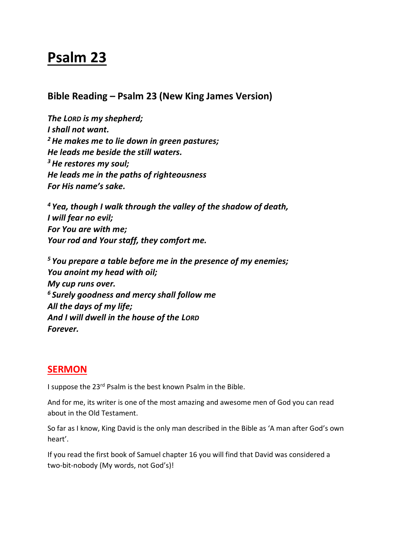# **Psalm 23**

**Bible Reading – Psalm 23 (New King James Version)**

*The LORD is my shepherd; I shall not want. <sup>2</sup>He makes me to lie down in green pastures; He leads me beside the still waters. <sup>3</sup>He restores my soul; He leads me in the paths of righteousness For His name's sake.*

*<sup>4</sup> Yea, though I walk through the valley of the shadow of death, I will fear no evil; For You are with me; Your rod and Your staff, they comfort me.*

*<sup>5</sup> You prepare a table before me in the presence of my enemies; You anoint my head with oil; My cup runs over. <sup>6</sup> Surely goodness and mercy shall follow me All the days of my life; And I will dwell in the house of the LORD Forever.*

# **SERMON**

I suppose the 23rd Psalm is the best known Psalm in the Bible.

And for me, its writer is one of the most amazing and awesome men of God you can read about in the Old Testament.

So far as I know, King David is the only man described in the Bible as 'A man after God's own heart'.

If you read the first book of Samuel chapter 16 you will find that David was considered a two-bit-nobody (My words, not God's)!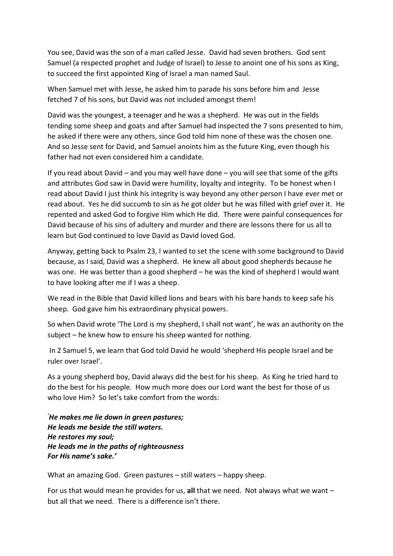You see, David was the son of a man called Jesse. David had seven brothers. God sent Samuel (a respected prophet and Judge of Israel) to Jesse to anoint one of his sons as King, to succeed the first appointed King of Israel a man named Saul.

When Samuel met with Jesse, he asked him to parade his sons before him and Jesse fetched 7 of his sons, but David was not included amongst them!

David was the youngest, a teenager and he was a shepherd. He was out in the fields tending some sheep and goats and after Samuel had inspected the 7 sons presented to him, he asked if there were any others, since God told him none of these was the chosen one. And so Jesse sent for David, and Samuel anoints him as the future King, even though his father had not even considered him a candidate.

If you read about David – and you may well have done – you will see that some of the gifts and attributes God saw in David were humility, loyalty and integrity. To be honest when I read about David I just think his integrity is way beyond any other person I have ever met or read about. Yes he did succumb to sin as he got older but he was filled with grief over it. He repented and asked God to forgive Him which He did. There were painful consequences for David because of his sins of adultery and murder and there are lessons there for us all to learn but God continued to love David as David loved God.

Anyway, getting back to Psalm 23, I wanted to set the scene with some background to David because, as I said, David was a shepherd. He knew all about good shepherds because he was one. He was better than a good shepherd – he was the kind of shepherd I would want to have looking after me if I was a sheep.

We read in the Bible that David killed lions and bears with his bare hands to keep safe his sheep. God gave him his extraordinary physical powers.

So when David wrote 'The Lord is my shepherd, I shall not want', he was an authority on the subject – he knew how to ensure his sheep wanted for nothing.

In 2 Samuel 5, we learn that God told David he would 'shepherd His people Israel and be ruler over Israel'.

As a young shepherd boy, David always did the best for his sheep. As King he tried hard to do the best for his people. How much more does our Lord want the best for those of us who love Him? So let's take comfort from the words:

*'He makes me lie down in green pastures; He leads me beside the still waters. He restores my soul; He leads me in the paths of righteousness For His name's sake.'*

What an amazing God. Green pastures – still waters – happy sheep.

For us that would mean he provides for us, **all** that we need. Not always what we want – but all that we need. There is a difference isn't there.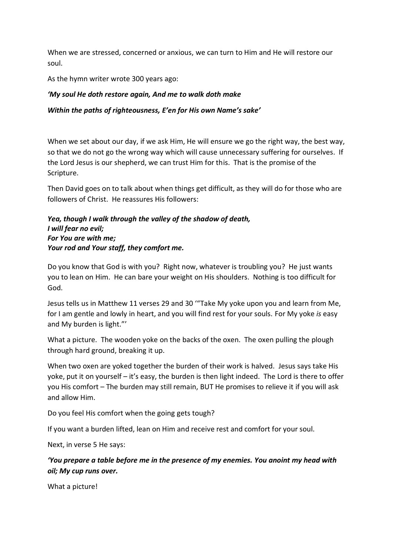When we are stressed, concerned or anxious, we can turn to Him and He will restore our soul.

As the hymn writer wrote 300 years ago:

#### *'My soul He doth restore again, And me to walk doth make*

#### *Within the paths of righteousness, E'en for His own Name's sake'*

When we set about our day, if we ask Him, He will ensure we go the right way, the best way, so that we do not go the wrong way which will cause unnecessary suffering for ourselves. If the Lord Jesus is our shepherd, we can trust Him for this. That is the promise of the Scripture.

Then David goes on to talk about when things get difficult, as they will do for those who are followers of Christ. He reassures His followers:

#### *Yea, though I walk through the valley of the shadow of death, I will fear no evil; For You are with me; Your rod and Your staff, they comfort me.*

Do you know that God is with you? Right now, whatever is troubling you? He just wants you to lean on Him. He can bare your weight on His shoulders. Nothing is too difficult for God.

Jesus tells us in Matthew 11 verses 29 and 30 '"Take My yoke upon you and learn from Me, for I am gentle and lowly in heart, and you will find rest for your souls. For My yoke *is* easy and My burden is light."'

What a picture. The wooden yoke on the backs of the oxen. The oxen pulling the plough through hard ground, breaking it up.

When two oxen are yoked together the burden of their work is halved. Jesus says take His yoke, put it on yourself – it's easy, the burden is then light indeed. The Lord is there to offer you His comfort – The burden may still remain, BUT He promises to relieve it if you will ask and allow Him.

Do you feel His comfort when the going gets tough?

If you want a burden lifted, lean on Him and receive rest and comfort for your soul.

Next, in verse 5 He says:

## *'You prepare a table before me in the presence of my enemies. You anoint my head with oil; My cup runs over.*

What a picture!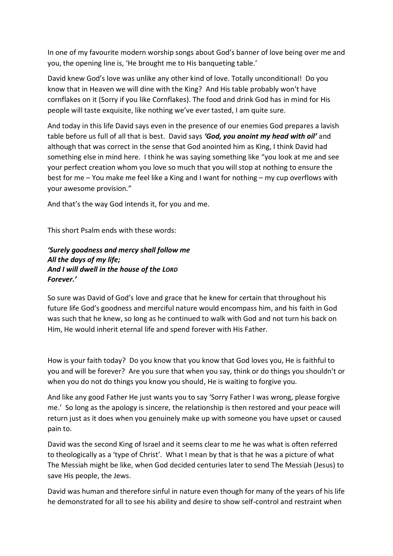In one of my favourite modern worship songs about God's banner of love being over me and you, the opening line is, 'He brought me to His banqueting table.'

David knew God's love was unlike any other kind of love. Totally unconditional! Do you know that in Heaven we will dine with the King? And His table probably won't have cornflakes on it (Sorry if you like Cornflakes). The food and drink God has in mind for His people will taste exquisite, like nothing we've ever tasted, I am quite sure.

And today in this life David says even in the presence of our enemies God prepares a lavish table before us full of all that is best. David says *'God, you anoint my head with oil'* and although that was correct in the sense that God anointed him as King, I think David had something else in mind here. I think he was saying something like "you look at me and see your perfect creation whom you love so much that you will stop at nothing to ensure the best for me – You make me feel like a King and I want for nothing – my cup overflows with your awesome provision."

And that's the way God intends it, for you and me.

This short Psalm ends with these words:

*'Surely goodness and mercy shall follow me All the days of my life; And I will dwell in the house of the LORD Forever.'*

So sure was David of God's love and grace that he knew for certain that throughout his future life God's goodness and merciful nature would encompass him, and his faith in God was such that he knew, so long as he continued to walk with God and not turn his back on Him, He would inherit eternal life and spend forever with His Father.

How is your faith today? Do you know that you know that God loves you, He is faithful to you and will be forever? Are you sure that when you say, think or do things you shouldn't or when you do not do things you know you should, He is waiting to forgive you.

And like any good Father He just wants you to say 'Sorry Father I was wrong, please forgive me.' So long as the apology is sincere, the relationship is then restored and your peace will return just as it does when you genuinely make up with someone you have upset or caused pain to.

David was the second King of Israel and it seems clear to me he was what is often referred to theologically as a 'type of Christ'. What I mean by that is that he was a picture of what The Messiah might be like, when God decided centuries later to send The Messiah (Jesus) to save His people, the Jews.

David was human and therefore sinful in nature even though for many of the years of his life he demonstrated for all to see his ability and desire to show self-control and restraint when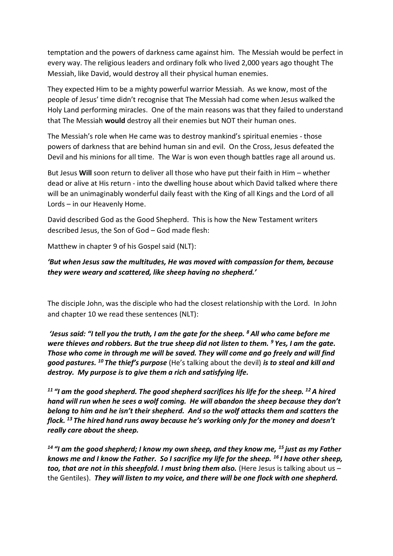temptation and the powers of darkness came against him. The Messiah would be perfect in every way. The religious leaders and ordinary folk who lived 2,000 years ago thought The Messiah, like David, would destroy all their physical human enemies.

They expected Him to be a mighty powerful warrior Messiah. As we know, most of the people of Jesus' time didn't recognise that The Messiah had come when Jesus walked the Holy Land performing miracles. One of the main reasons was that they failed to understand that The Messiah **would** destroy all their enemies but NOT their human ones.

The Messiah's role when He came was to destroy mankind's spiritual enemies - those powers of darkness that are behind human sin and evil. On the Cross, Jesus defeated the Devil and his minions for all time. The War is won even though battles rage all around us.

But Jesus **Will** soon return to deliver all those who have put their faith in Him – whether dead or alive at His return - into the dwelling house about which David talked where there will be an unimaginably wonderful daily feast with the King of all Kings and the Lord of all Lords – in our Heavenly Home.

David described God as the Good Shepherd. This is how the New Testament writers described Jesus, the Son of God – God made flesh:

Matthew in chapter 9 of his Gospel said (NLT):

### *'But when Jesus saw the multitudes, He was moved with compassion for them, because they were weary and scattered, like sheep having no shepherd.'*

The disciple John, was the disciple who had the closest relationship with the Lord. In John and chapter 10 we read these sentences (NLT):

*'Jesus said: "I tell you the truth, I am the gate for the sheep. <sup>8</sup> All who came before me were thieves and robbers. But the true sheep did not listen to them. <sup>9</sup> Yes, I am the gate. Those who come in through me will be saved. They will come and go freely and will find good pastures. <sup>10</sup> The thief's purpose* (He's talking about the devil) *is to steal and kill and destroy. My purpose is to give them a rich and satisfying life.*

*<sup>11</sup> "I am the good shepherd. The good shepherd sacrifices his life for the sheep. <sup>12</sup>A hired hand will run when he sees a wolf coming. He will abandon the sheep because they don't belong to him and he isn't their shepherd. And so the wolf attacks them and scatters the flock. <sup>13</sup> The hired hand runs away because he's working only for the money and doesn't really care about the sheep.*

*<sup>14</sup> "I am the good shepherd; I know my own sheep, and they know me, <sup>15</sup> just as my Father knows me and I know the Father. So I sacrifice my life for the sheep. <sup>16</sup> I have other sheep, too, that are not in this sheepfold. I must bring them also.* (Here Jesus is talking about us – the Gentiles). *They will listen to my voice, and there will be one flock with one shepherd.*